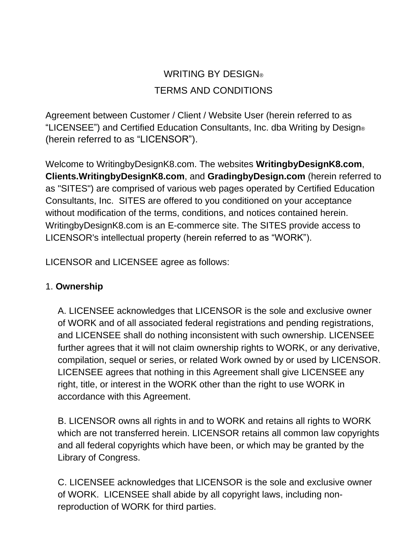# WRITING BY DESIGN® TERMS AND CONDITIONS

Agreement between Customer / Client / Website User (herein referred to as "LICENSEE") and Certified Education Consultants, Inc. dba Writing by Design® (herein referred to as "LICENSOR").

Welcome to WritingbyDesignK8.com. The websites **WritingbyDesignK8.com**, **Clients.WritingbyDesignK8.com**, and **GradingbyDesign.com** (herein referred to as "SITES") are comprised of various web pages operated by Certified Education Consultants, Inc. SITES are offered to you conditioned on your acceptance without modification of the terms, conditions, and notices contained herein. WritingbyDesignK8.com is an E-commerce site. The SITES provide access to LICENSOR's intellectual property (herein referred to as "WORK").

LICENSOR and LICENSEE agree as follows:

# 1. **Ownership**

A. LICENSEE acknowledges that LICENSOR is the sole and exclusive owner of WORK and of all associated federal registrations and pending registrations, and LICENSEE shall do nothing inconsistent with such ownership. LICENSEE further agrees that it will not claim ownership rights to WORK, or any derivative, compilation, sequel or series, or related Work owned by or used by LICENSOR. LICENSEE agrees that nothing in this Agreement shall give LICENSEE any right, title, or interest in the WORK other than the right to use WORK in accordance with this Agreement.

B. LICENSOR owns all rights in and to WORK and retains all rights to WORK which are not transferred herein. LICENSOR retains all common law copyrights and all federal copyrights which have been, or which may be granted by the Library of Congress.

C. LICENSEE acknowledges that LICENSOR is the sole and exclusive owner of WORK. LICENSEE shall abide by all copyright laws, including nonreproduction of WORK for third parties.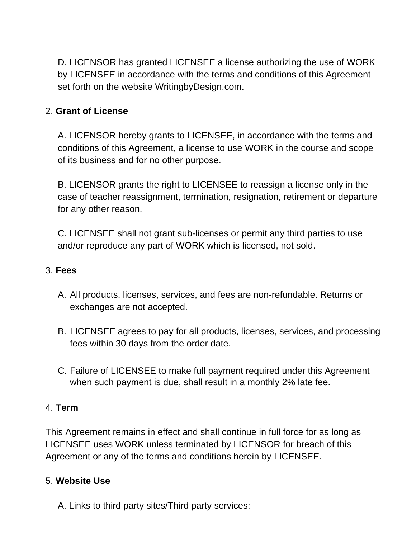D. LICENSOR has granted LICENSEE a license authorizing the use of WORK by LICENSEE in accordance with the terms and conditions of this Agreement set forth on the website WritingbyDesign.com.

# 2. **Grant of License**

A. LICENSOR hereby grants to LICENSEE, in accordance with the terms and conditions of this Agreement, a license to use WORK in the course and scope of its business and for no other purpose.

B. LICENSOR grants the right to LICENSEE to reassign a license only in the case of teacher reassignment, termination, resignation, retirement or departure for any other reason.

C. LICENSEE shall not grant sub-licenses or permit any third parties to use and/or reproduce any part of WORK which is licensed, not sold.

#### 3. **Fees**

- A. All products, licenses, services, and fees are non-refundable. Returns or exchanges are not accepted.
- B. LICENSEE agrees to pay for all products, licenses, services, and processing fees within 30 days from the order date.
- C. Failure of LICENSEE to make full payment required under this Agreement when such payment is due, shall result in a monthly 2% late fee.

#### 4. **Term**

This Agreement remains in effect and shall continue in full force for as long as LICENSEE uses WORK unless terminated by LICENSOR for breach of this Agreement or any of the terms and conditions herein by LICENSEE.

#### 5. **Website Use**

A. Links to third party sites/Third party services: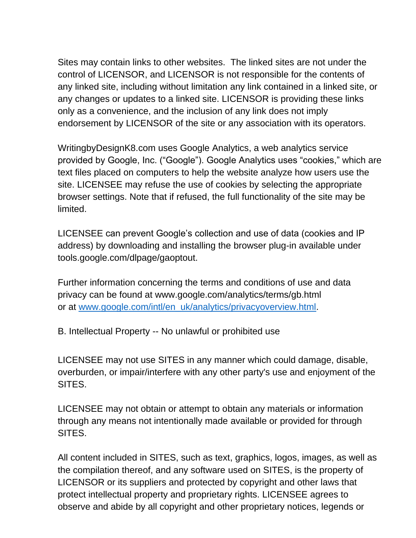Sites may contain links to other websites. The linked sites are not under the control of LICENSOR, and LICENSOR is not responsible for the contents of any linked site, including without limitation any link contained in a linked site, or any changes or updates to a linked site. LICENSOR is providing these links only as a convenience, and the inclusion of any link does not imply endorsement by LICENSOR of the site or any association with its operators.

WritingbyDesignK8.com uses Google Analytics, a web analytics service provided by Google, Inc. ("Google"). Google Analytics uses "cookies," which are text files placed on computers to help the website analyze how users use the site. LICENSEE may refuse the use of cookies by selecting the appropriate browser settings. Note that if refused, the full functionality of the site may be limited.

LICENSEE can prevent Google's collection and use of data (cookies and IP address) by downloading and installing the browser plug-in available under tools.google.com/dlpage/gaoptout.

Further information concerning the terms and conditions of use and data privacy can be found at www.google.com/analytics/terms/gb.html or at [www.google.com/intl/en\\_uk/analytics/privacyoverview.html.](http://www.google.com/intl/en_uk/analytics/privacyoverview.html)

B. Intellectual Property -- No unlawful or prohibited use

LICENSEE may not use SITES in any manner which could damage, disable, overburden, or impair/interfere with any other party's use and enjoyment of the SITES.

LICENSEE may not obtain or attempt to obtain any materials or information through any means not intentionally made available or provided for through SITES.

All content included in SITES, such as text, graphics, logos, images, as well as the compilation thereof, and any software used on SITES, is the property of LICENSOR or its suppliers and protected by copyright and other laws that protect intellectual property and proprietary rights. LICENSEE agrees to observe and abide by all copyright and other proprietary notices, legends or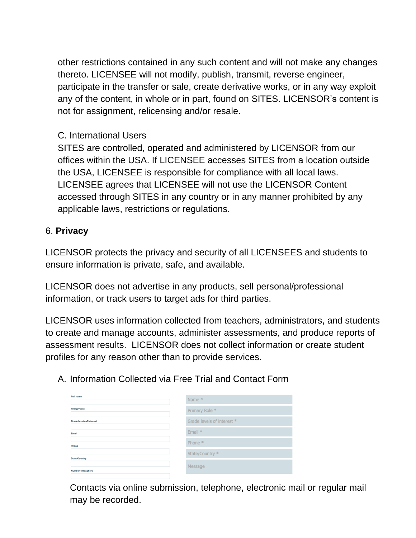other restrictions contained in any such content and will not make any changes thereto. LICENSEE will not modify, publish, transmit, reverse engineer, participate in the transfer or sale, create derivative works, or in any way exploit any of the content, in whole or in part, found on SITES. LICENSOR's content is not for assignment, relicensing and/or resale.

## C. International Users

SITES are controlled, operated and administered by LICENSOR from our offices within the USA. If LICENSEE accesses SITES from a location outside the USA, LICENSEE is responsible for compliance with all local laws. LICENSEE agrees that LICENSEE will not use the LICENSOR Content accessed through SITES in any country or in any manner prohibited by any applicable laws, restrictions or regulations.

# 6. **Privacy**

LICENSOR protects the privacy and security of all LICENSEES and students to ensure information is private, safe, and available.

LICENSOR does not advertise in any products, sell personal/professional information, or track users to target ads for third parties.

LICENSOR uses information collected from teachers, administrators, and students to create and manage accounts, administer assessments, and produce reports of assessment results. LICENSOR does not collect information or create student profiles for any reason other than to provide services.

A. Information Collected via Free Trial and Contact Form

| Full name                       | Name *                     |
|---------------------------------|----------------------------|
| <b>Primary role</b>             | Primary Role *             |
| <b>Grade levels of interest</b> | Grade levels of interest * |
| Email                           | Email *                    |
| Phone                           | Phone *                    |
| <b>State/Country</b>            | State/Country *            |
| Number of teachers              | Message                    |

Contacts via online submission, telephone, electronic mail or regular mail may be recorded.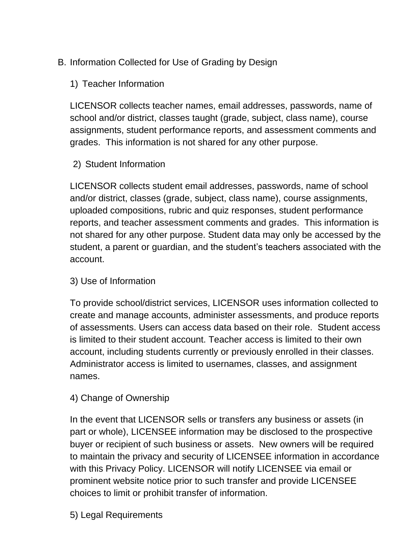# B. Information Collected for Use of Grading by Design

1) Teacher Information

LICENSOR collects teacher names, email addresses, passwords, name of school and/or district, classes taught (grade, subject, class name), course assignments, student performance reports, and assessment comments and grades. This information is not shared for any other purpose.

## 2) Student Information

LICENSOR collects student email addresses, passwords, name of school and/or district, classes (grade, subject, class name), course assignments, uploaded compositions, rubric and quiz responses, student performance reports, and teacher assessment comments and grades. This information is not shared for any other purpose. Student data may only be accessed by the student, a parent or guardian, and the student's teachers associated with the account.

#### 3) Use of Information

To provide school/district services, LICENSOR uses information collected to create and manage accounts, administer assessments, and produce reports of assessments. Users can access data based on their role. Student access is limited to their student account. Teacher access is limited to their own account, including students currently or previously enrolled in their classes. Administrator access is limited to usernames, classes, and assignment names.

#### 4) Change of Ownership

In the event that LICENSOR sells or transfers any business or assets (in part or whole), LICENSEE information may be disclosed to the prospective buyer or recipient of such business or assets. New owners will be required to maintain the privacy and security of LICENSEE information in accordance with this Privacy Policy. LICENSOR will notify LICENSEE via email or prominent website notice prior to such transfer and provide LICENSEE choices to limit or prohibit transfer of information.

5) Legal Requirements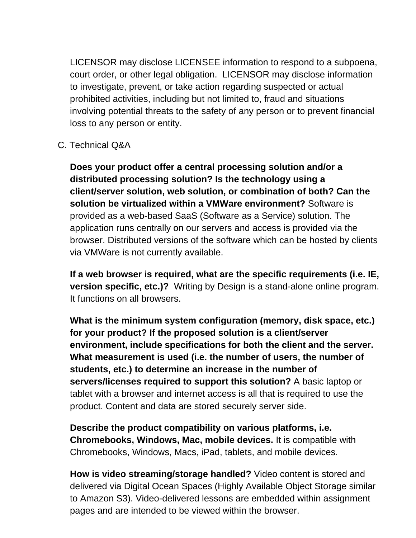LICENSOR may disclose LICENSEE information to respond to a subpoena, court order, or other legal obligation. LICENSOR may disclose information to investigate, prevent, or take action regarding suspected or actual prohibited activities, including but not limited to, fraud and situations involving potential threats to the safety of any person or to prevent financial loss to any person or entity.

# C. Technical Q&A

**Does your product offer a central processing solution and/or a distributed processing solution? Is the technology using a client/server solution, web solution, or combination of both? Can the solution be virtualized within a VMWare environment?** Software is provided as a web-based SaaS (Software as a Service) solution. The application runs centrally on our servers and access is provided via the browser. Distributed versions of the software which can be hosted by clients via VMWare is not currently available.

**If a web browser is required, what are the specific requirements (i.e. IE, version specific, etc.)?** Writing by Design is a stand-alone online program. It functions on all browsers.

**What is the minimum system configuration (memory, disk space, etc.) for your product? If the proposed solution is a client/server environment, include specifications for both the client and the server. What measurement is used (i.e. the number of users, the number of students, etc.) to determine an increase in the number of servers/licenses required to support this solution?** A basic laptop or tablet with a browser and internet access is all that is required to use the product. Content and data are stored securely server side.

**Describe the product compatibility on various platforms, i.e. Chromebooks, Windows, Mac, mobile devices.** It is compatible with Chromebooks, Windows, Macs, iPad, tablets, and mobile devices.

**How is video streaming/storage handled?** Video content is stored and delivered via Digital Ocean Spaces (Highly Available Object Storage similar to Amazon S3). Video-delivered lessons are embedded within assignment pages and are intended to be viewed within the browser.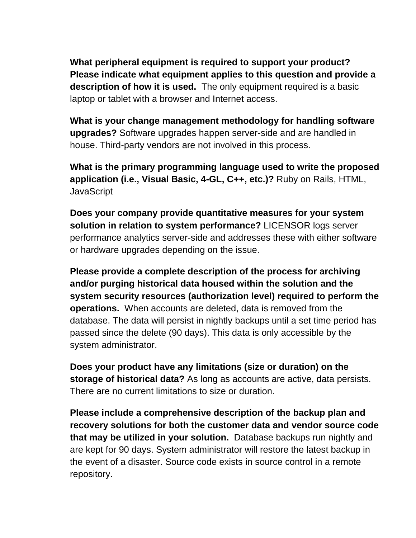**What peripheral equipment is required to support your product? Please indicate what equipment applies to this question and provide a description of how it is used.** The only equipment required is a basic laptop or tablet with a browser and Internet access.

**What is your change management methodology for handling software upgrades?** Software upgrades happen server-side and are handled in house. Third-party vendors are not involved in this process.

**What is the primary programming language used to write the proposed application (i.e., Visual Basic, 4-GL, C++, etc.)?** Ruby on Rails, HTML, **JavaScript** 

**Does your company provide quantitative measures for your system solution in relation to system performance?** LICENSOR logs server performance analytics server-side and addresses these with either software or hardware upgrades depending on the issue.

**Please provide a complete description of the process for archiving and/or purging historical data housed within the solution and the system security resources (authorization level) required to perform the operations.** When accounts are deleted, data is removed from the database. The data will persist in nightly backups until a set time period has passed since the delete (90 days). This data is only accessible by the system administrator.

**Does your product have any limitations (size or duration) on the storage of historical data?** As long as accounts are active, data persists. There are no current limitations to size or duration.

**Please include a comprehensive description of the backup plan and recovery solutions for both the customer data and vendor source code that may be utilized in your solution.** Database backups run nightly and are kept for 90 days. System administrator will restore the latest backup in the event of a disaster. Source code exists in source control in a remote repository.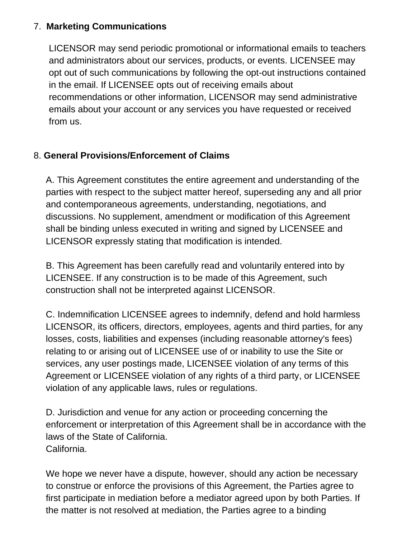## 7. **Marketing Communications**

LICENSOR may send periodic promotional or informational emails to teachers and administrators about our services, products, or events. LICENSEE may opt out of such communications by following the opt-out instructions contained in the email. If LICENSEE opts out of receiving emails about recommendations or other information, LICENSOR may send administrative emails about your account or any services you have requested or received from us.

# 8. **General Provisions/Enforcement of Claims**

A. This Agreement constitutes the entire agreement and understanding of the parties with respect to the subject matter hereof, superseding any and all prior and contemporaneous agreements, understanding, negotiations, and discussions. No supplement, amendment or modification of this Agreement shall be binding unless executed in writing and signed by LICENSEE and LICENSOR expressly stating that modification is intended.

B. This Agreement has been carefully read and voluntarily entered into by LICENSEE. If any construction is to be made of this Agreement, such construction shall not be interpreted against LICENSOR.

C. Indemnification LICENSEE agrees to indemnify, defend and hold harmless LICENSOR, its officers, directors, employees, agents and third parties, for any losses, costs, liabilities and expenses (including reasonable attorney's fees) relating to or arising out of LICENSEE use of or inability to use the Site or services, any user postings made, LICENSEE violation of any terms of this Agreement or LICENSEE violation of any rights of a third party, or LICENSEE violation of any applicable laws, rules or regulations.

D. Jurisdiction and venue for any action or proceeding concerning the enforcement or interpretation of this Agreement shall be in accordance with the laws of the State of California. California.

We hope we never have a dispute, however, should any action be necessary to construe or enforce the provisions of this Agreement, the Parties agree to first participate in mediation before a mediator agreed upon by both Parties. If the matter is not resolved at mediation, the Parties agree to a binding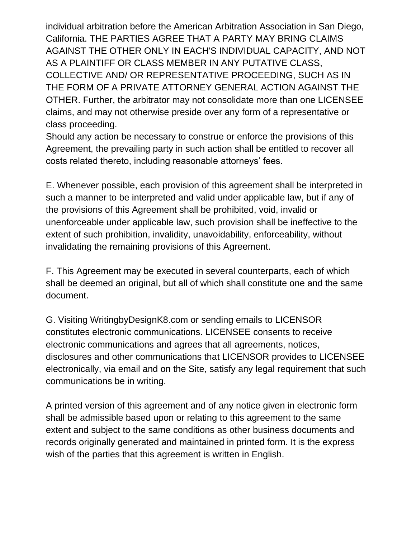individual arbitration before the American Arbitration Association in San Diego, California. THE PARTIES AGREE THAT A PARTY MAY BRING CLAIMS AGAINST THE OTHER ONLY IN EACH'S INDIVIDUAL CAPACITY, AND NOT AS A PLAINTIFF OR CLASS MEMBER IN ANY PUTATIVE CLASS, COLLECTIVE AND/ OR REPRESENTATIVE PROCEEDING, SUCH AS IN THE FORM OF A PRIVATE ATTORNEY GENERAL ACTION AGAINST THE OTHER. Further, the arbitrator may not consolidate more than one LICENSEE claims, and may not otherwise preside over any form of a representative or class proceeding.

Should any action be necessary to construe or enforce the provisions of this Agreement, the prevailing party in such action shall be entitled to recover all costs related thereto, including reasonable attorneys' fees.

E. Whenever possible, each provision of this agreement shall be interpreted in such a manner to be interpreted and valid under applicable law, but if any of the provisions of this Agreement shall be prohibited, void, invalid or unenforceable under applicable law, such provision shall be ineffective to the extent of such prohibition, invalidity, unavoidability, enforceability, without invalidating the remaining provisions of this Agreement.

F. This Agreement may be executed in several counterparts, each of which shall be deemed an original, but all of which shall constitute one and the same document.

G. Visiting WritingbyDesignK8.com or sending emails to LICENSOR constitutes electronic communications. LICENSEE consents to receive electronic communications and agrees that all agreements, notices, disclosures and other communications that LICENSOR provides to LICENSEE electronically, via email and on the Site, satisfy any legal requirement that such communications be in writing.

A printed version of this agreement and of any notice given in electronic form shall be admissible based upon or relating to this agreement to the same extent and subject to the same conditions as other business documents and records originally generated and maintained in printed form. It is the express wish of the parties that this agreement is written in English.